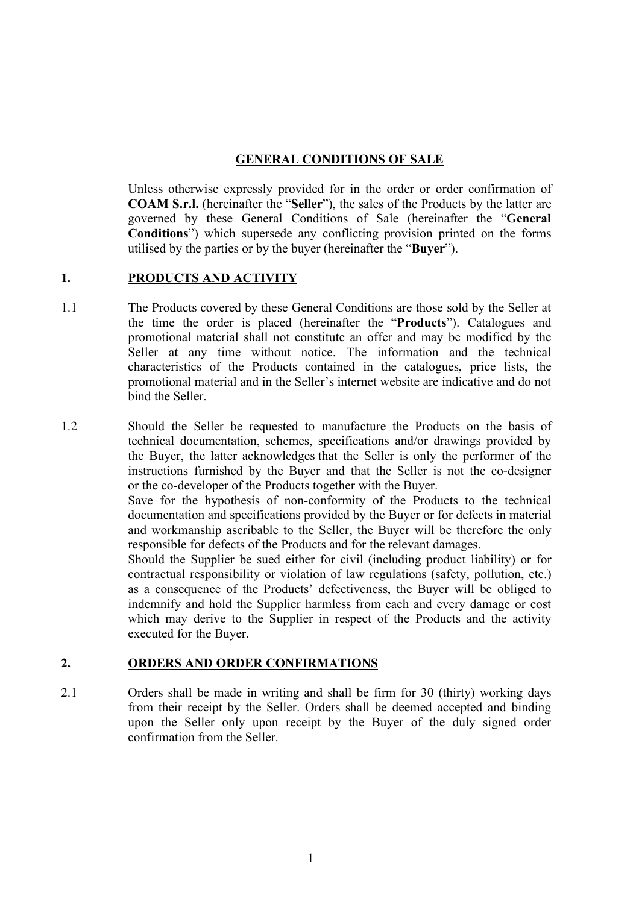# **GENERAL CONDITIONS OF SALE**

Unless otherwise expressly provided for in the order or order confirmation of **COAM S.r.l.** (hereinafter the "**Seller**"), the sales of the Products by the latter are governed by these General Conditions of Sale (hereinafter the "**General Conditions**") which supersede any conflicting provision printed on the forms utilised by the parties or by the buyer (hereinafter the "**Buyer**").

#### **1. PRODUCTS AND ACTIVITY**

1.1 The Products covered by these General Conditions are those sold by the Seller at the time the order is placed (hereinafter the "**Products**"). Catalogues and promotional material shall not constitute an offer and may be modified by the Seller at any time without notice. The information and the technical characteristics of the Products contained in the catalogues, price lists, the promotional material and in the Seller's internet website are indicative and do not bind the Seller.

1.2 Should the Seller be requested to manufacture the Products on the basis of technical documentation, schemes, specifications and/or drawings provided by the Buyer, the latter acknowledges that the Seller is only the performer of the instructions furnished by the Buyer and that the Seller is not the co-designer or the co-developer of the Products together with the Buyer. Save for the hypothesis of non-conformity of the Products to the technical documentation and specifications provided by the Buyer or for defects in material and workmanship ascribable to the Seller, the Buyer will be therefore the only responsible for defects of the Products and for the relevant damages. Should the Supplier be sued either for civil (including product liability) or for contractual responsibility or violation of law regulations (safety, pollution, etc.) as a consequence of the Products' defectiveness, the Buyer will be obliged to indemnify and hold the Supplier harmless from each and every damage or cost which may derive to the Supplier in respect of the Products and the activity executed for the Buyer.

# **2. ORDERS AND ORDER CONFIRMATIONS**

2.1 Orders shall be made in writing and shall be firm for 30 (thirty) working days from their receipt by the Seller. Orders shall be deemed accepted and binding upon the Seller only upon receipt by the Buyer of the duly signed order confirmation from the Seller.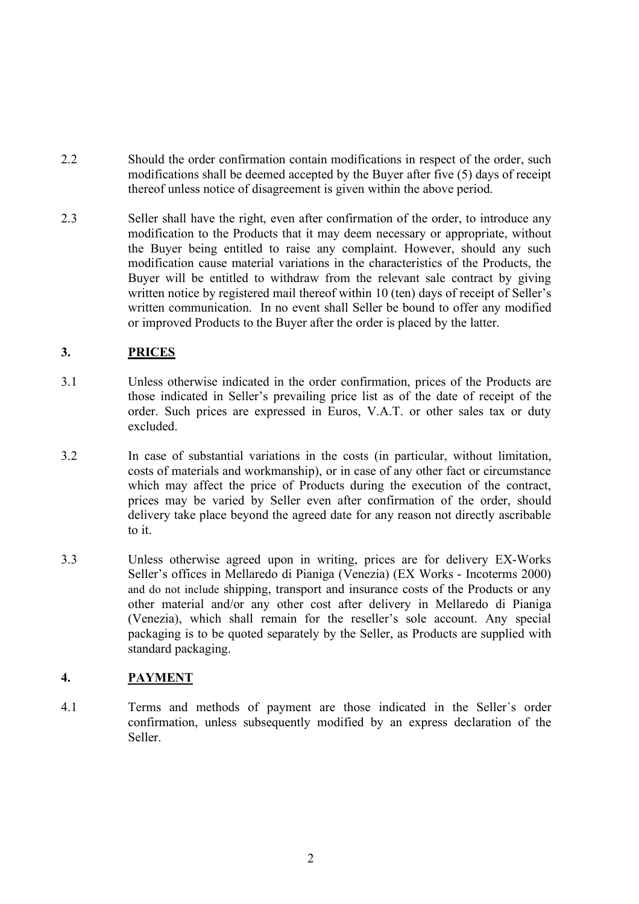- 2.2 Should the order confirmation contain modifications in respect of the order, such modifications shall be deemed accepted by the Buyer after five (5) days of receipt thereof unless notice of disagreement is given within the above period.
- 2.3 Seller shall have the right, even after confirmation of the order, to introduce any modification to the Products that it may deem necessary or appropriate, without the Buyer being entitled to raise any complaint. However, should any such modification cause material variations in the characteristics of the Products, the Buyer will be entitled to withdraw from the relevant sale contract by giving written notice by registered mail thereof within 10 (ten) days of receipt of Seller's written communication. In no event shall Seller be bound to offer any modified or improved Products to the Buyer after the order is placed by the latter.

# **3. PRICES**

- 3.1 Unless otherwise indicated in the order confirmation, prices of the Products are those indicated in Seller's prevailing price list as of the date of receipt of the order. Such prices are expressed in Euros, V.A.T. or other sales tax or duty excluded.
- 3.2 In case of substantial variations in the costs (in particular, without limitation, costs of materials and workmanship), or in case of any other fact or circumstance which may affect the price of Products during the execution of the contract, prices may be varied by Seller even after confirmation of the order, should delivery take place beyond the agreed date for any reason not directly ascribable to it.
- 3.3 Unless otherwise agreed upon in writing, prices are for delivery EX-Works Seller's offices in Mellaredo di Pianiga (Venezia) (EX Works - Incoterms 2000) and do not include shipping, transport and insurance costs of the Products or any other material and/or any other cost after delivery in Mellaredo di Pianiga (Venezia), which shall remain for the reseller's sole account. Any special packaging is to be quoted separately by the Seller, as Products are supplied with standard packaging.

# **4. PAYMENT**

4.1 Terms and methods of payment are those indicated in the Seller´s order confirmation, unless subsequently modified by an express declaration of the Seller.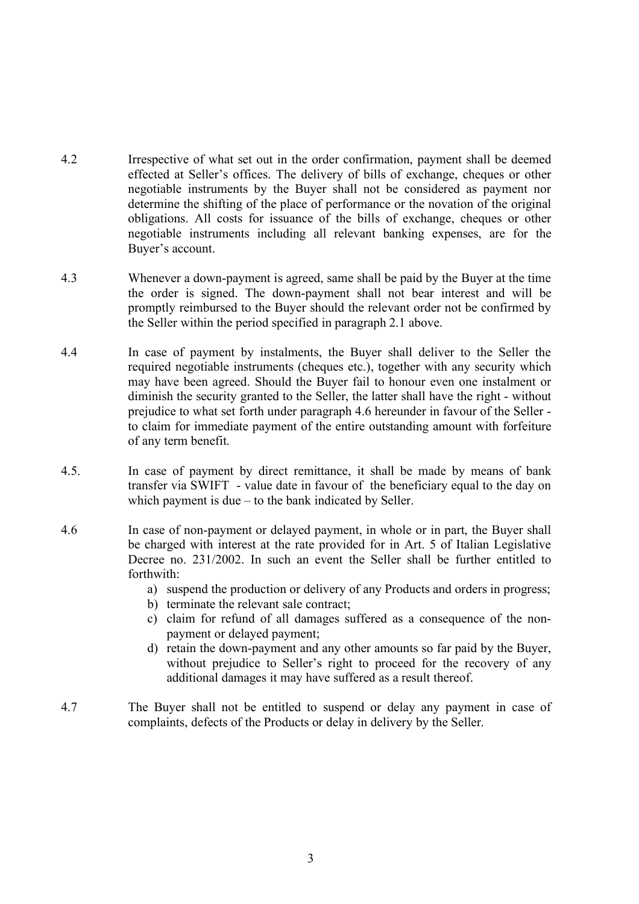- 4.2 Irrespective of what set out in the order confirmation, payment shall be deemed effected at Seller's offices. The delivery of bills of exchange, cheques or other negotiable instruments by the Buyer shall not be considered as payment nor determine the shifting of the place of performance or the novation of the original obligations. All costs for issuance of the bills of exchange, cheques or other negotiable instruments including all relevant banking expenses, are for the Buyer's account.
- 4.3 Whenever a down-payment is agreed, same shall be paid by the Buyer at the time the order is signed. The down-payment shall not bear interest and will be promptly reimbursed to the Buyer should the relevant order not be confirmed by the Seller within the period specified in paragraph 2.1 above.
- 4.4 In case of payment by instalments, the Buyer shall deliver to the Seller the required negotiable instruments (cheques etc.), together with any security which may have been agreed. Should the Buyer fail to honour even one instalment or diminish the security granted to the Seller, the latter shall have the right - without prejudice to what set forth under paragraph 4.6 hereunder in favour of the Seller to claim for immediate payment of the entire outstanding amount with forfeiture of any term benefit.
- 4.5. In case of payment by direct remittance, it shall be made by means of bank transfer via SWIFT - value date in favour of the beneficiary equal to the day on which payment is due – to the bank indicated by Seller.
- 4.6 In case of non-payment or delayed payment, in whole or in part, the Buyer shall be charged with interest at the rate provided for in Art. 5 of Italian Legislative Decree no. 231/2002. In such an event the Seller shall be further entitled to forthwith:
	- a) suspend the production or delivery of any Products and orders in progress;
	- b) terminate the relevant sale contract;
	- c) claim for refund of all damages suffered as a consequence of the nonpayment or delayed payment;
	- d) retain the down-payment and any other amounts so far paid by the Buyer, without prejudice to Seller's right to proceed for the recovery of any additional damages it may have suffered as a result thereof.
- 4.7 The Buyer shall not be entitled to suspend or delay any payment in case of complaints, defects of the Products or delay in delivery by the Seller.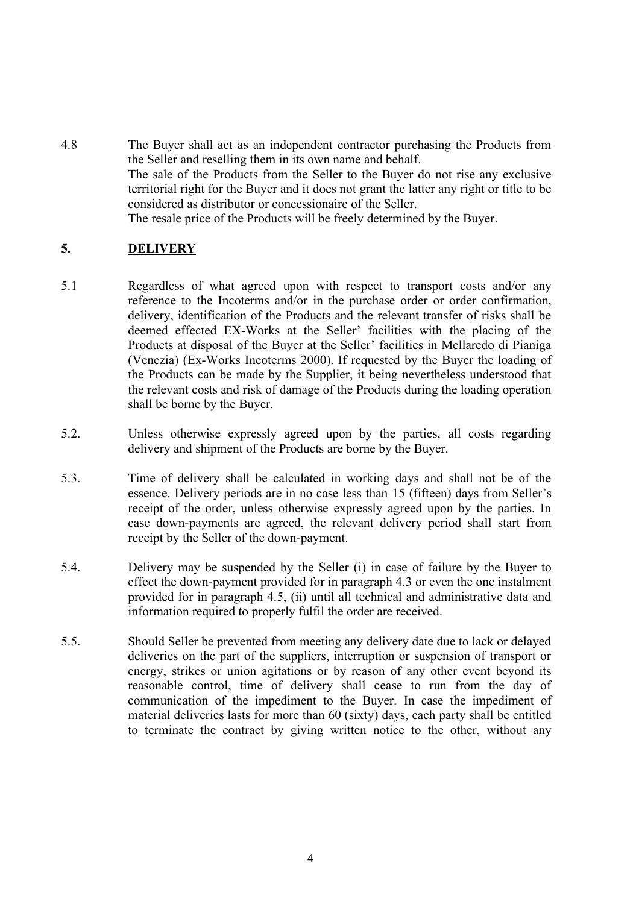4.8 The Buyer shall act as an independent contractor purchasing the Products from the Seller and reselling them in its own name and behalf. The sale of the Products from the Seller to the Buyer do not rise any exclusive territorial right for the Buyer and it does not grant the latter any right or title to be considered as distributor or concessionaire of the Seller. The resale price of the Products will be freely determined by the Buyer.

# **5. DELIVERY**

- 5.1 Regardless of what agreed upon with respect to transport costs and/or any reference to the Incoterms and/or in the purchase order or order confirmation, delivery, identification of the Products and the relevant transfer of risks shall be deemed effected EX-Works at the Seller' facilities with the placing of the Products at disposal of the Buyer at the Seller' facilities in Mellaredo di Pianiga (Venezia) (Ex-Works Incoterms 2000). If requested by the Buyer the loading of the Products can be made by the Supplier, it being nevertheless understood that the relevant costs and risk of damage of the Products during the loading operation shall be borne by the Buyer.
- 5.2. Unless otherwise expressly agreed upon by the parties, all costs regarding delivery and shipment of the Products are borne by the Buyer.
- 5.3. Time of delivery shall be calculated in working days and shall not be of the essence. Delivery periods are in no case less than 15 (fifteen) days from Seller's receipt of the order, unless otherwise expressly agreed upon by the parties. In case down-payments are agreed, the relevant delivery period shall start from receipt by the Seller of the down-payment.
- 5.4. Delivery may be suspended by the Seller (i) in case of failure by the Buyer to effect the down-payment provided for in paragraph 4.3 or even the one instalment provided for in paragraph 4.5, (ii) until all technical and administrative data and information required to properly fulfil the order are received.
- 5.5. Should Seller be prevented from meeting any delivery date due to lack or delayed deliveries on the part of the suppliers, interruption or suspension of transport or energy, strikes or union agitations or by reason of any other event beyond its reasonable control, time of delivery shall cease to run from the day of communication of the impediment to the Buyer. In case the impediment of material deliveries lasts for more than 60 (sixty) days, each party shall be entitled to terminate the contract by giving written notice to the other, without any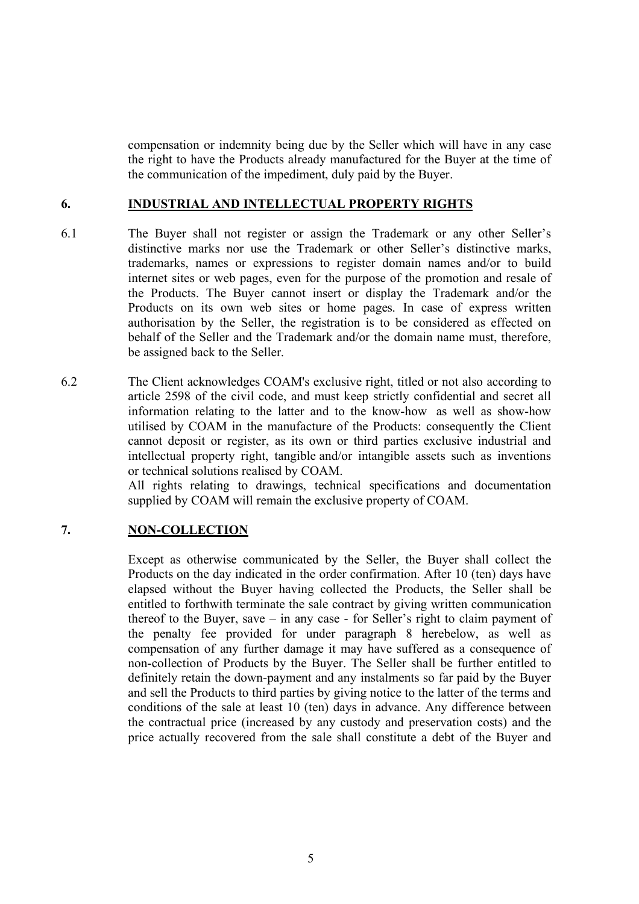compensation or indemnity being due by the Seller which will have in any case the right to have the Products already manufactured for the Buyer at the time of the communication of the impediment, duly paid by the Buyer.

#### **6. INDUSTRIAL AND INTELLECTUAL PROPERTY RIGHTS**

- 6.1 The Buyer shall not register or assign the Trademark or any other Seller's distinctive marks nor use the Trademark or other Seller's distinctive marks, trademarks, names or expressions to register domain names and/or to build internet sites or web pages, even for the purpose of the promotion and resale of the Products. The Buyer cannot insert or display the Trademark and/or the Products on its own web sites or home pages. In case of express written authorisation by the Seller, the registration is to be considered as effected on behalf of the Seller and the Trademark and/or the domain name must, therefore, be assigned back to the Seller.
- 6.2 The Client acknowledges COAM's exclusive right, titled or not also according to article 2598 of the civil code, and must keep strictly confidential and secret all information relating to the latter and to the know-how as well as show-how utilised by COAM in the manufacture of the Products: consequently the Client cannot deposit or register, as its own or third parties exclusive industrial and intellectual property right, tangible and/or intangible assets such as inventions or technical solutions realised by COAM.

All rights relating to drawings, technical specifications and documentation supplied by COAM will remain the exclusive property of COAM.

# **7. NON-COLLECTION**

Except as otherwise communicated by the Seller, the Buyer shall collect the Products on the day indicated in the order confirmation. After 10 (ten) days have elapsed without the Buyer having collected the Products, the Seller shall be entitled to forthwith terminate the sale contract by giving written communication thereof to the Buyer, save – in any case - for Seller's right to claim payment of the penalty fee provided for under paragraph 8 herebelow, as well as compensation of any further damage it may have suffered as a consequence of non-collection of Products by the Buyer. The Seller shall be further entitled to definitely retain the down-payment and any instalments so far paid by the Buyer and sell the Products to third parties by giving notice to the latter of the terms and conditions of the sale at least 10 (ten) days in advance. Any difference between the contractual price (increased by any custody and preservation costs) and the price actually recovered from the sale shall constitute a debt of the Buyer and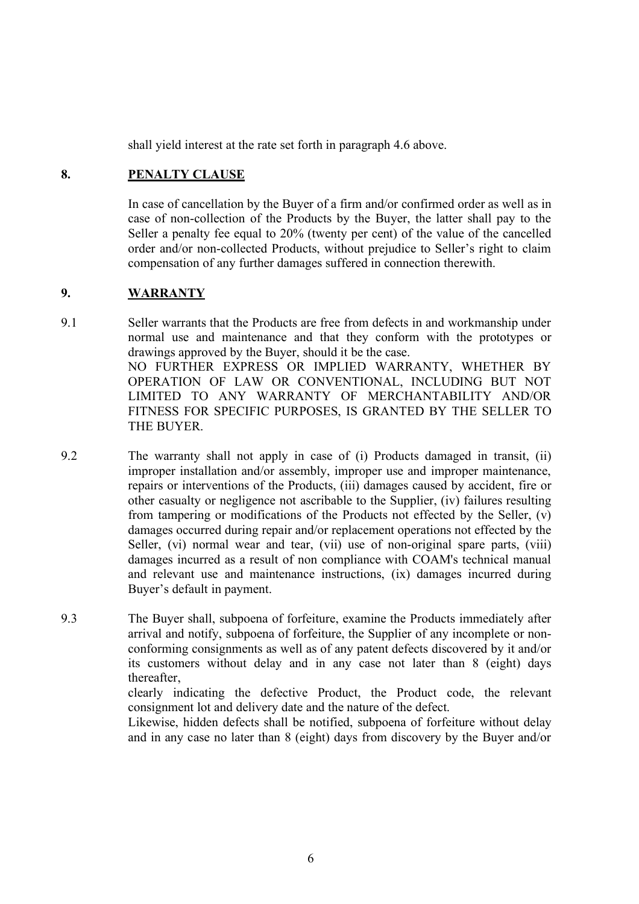shall yield interest at the rate set forth in paragraph 4.6 above.

## **8. PENALTY CLAUSE**

In case of cancellation by the Buyer of a firm and/or confirmed order as well as in case of non-collection of the Products by the Buyer, the latter shall pay to the Seller a penalty fee equal to 20% (twenty per cent) of the value of the cancelled order and/or non-collected Products, without prejudice to Seller's right to claim compensation of any further damages suffered in connection therewith.

## **9. WARRANTY**

- 9.1 Seller warrants that the Products are free from defects in and workmanship under normal use and maintenance and that they conform with the prototypes or drawings approved by the Buyer, should it be the case. NO FURTHER EXPRESS OR IMPLIED WARRANTY, WHETHER BY OPERATION OF LAW OR CONVENTIONAL, INCLUDING BUT NOT LIMITED TO ANY WARRANTY OF MERCHANTABILITY AND/OR FITNESS FOR SPECIFIC PURPOSES, IS GRANTED BY THE SELLER TO THE BUYER.
- 9.2 The warranty shall not apply in case of (i) Products damaged in transit, (ii) improper installation and/or assembly, improper use and improper maintenance, repairs or interventions of the Products, (iii) damages caused by accident, fire or other casualty or negligence not ascribable to the Supplier, (iv) failures resulting from tampering or modifications of the Products not effected by the Seller, (v) damages occurred during repair and/or replacement operations not effected by the Seller, (vi) normal wear and tear, (vii) use of non-original spare parts, (viii) damages incurred as a result of non compliance with COAM's technical manual and relevant use and maintenance instructions, (ix) damages incurred during Buyer's default in payment.
- 9.3 The Buyer shall, subpoena of forfeiture, examine the Products immediately after arrival and notify, subpoena of forfeiture, the Supplier of any incomplete or nonconforming consignments as well as of any patent defects discovered by it and/or its customers without delay and in any case not later than 8 (eight) days thereafter,

clearly indicating the defective Product, the Product code, the relevant consignment lot and delivery date and the nature of the defect.

Likewise, hidden defects shall be notified, subpoena of forfeiture without delay and in any case no later than 8 (eight) days from discovery by the Buyer and/or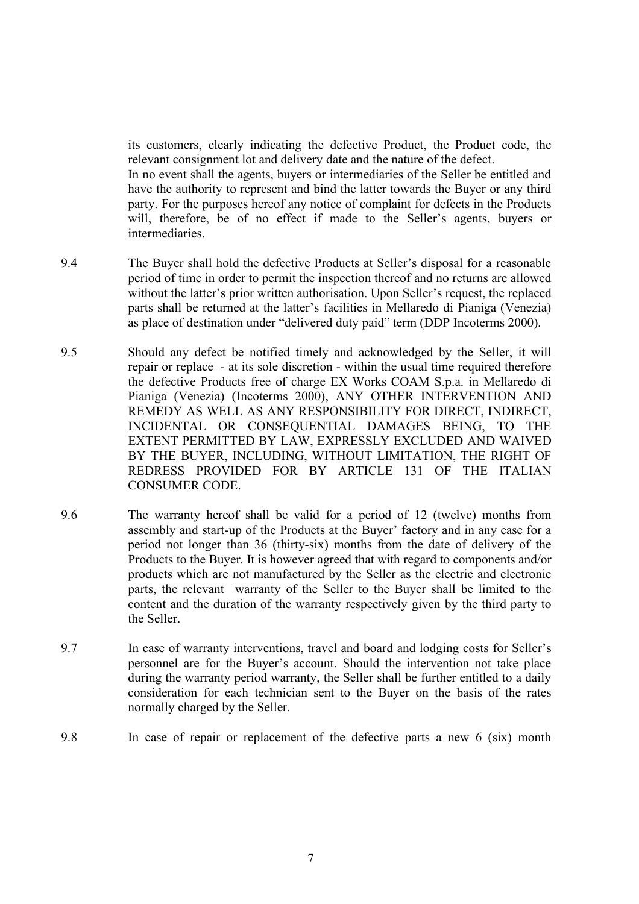its customers, clearly indicating the defective Product, the Product code, the relevant consignment lot and delivery date and the nature of the defect. In no event shall the agents, buyers or intermediaries of the Seller be entitled and have the authority to represent and bind the latter towards the Buyer or any third party. For the purposes hereof any notice of complaint for defects in the Products will, therefore, be of no effect if made to the Seller's agents, buyers or intermediaries.

- 9.4 The Buyer shall hold the defective Products at Seller's disposal for a reasonable period of time in order to permit the inspection thereof and no returns are allowed without the latter's prior written authorisation. Upon Seller's request, the replaced parts shall be returned at the latter's facilities in Mellaredo di Pianiga (Venezia) as place of destination under "delivered duty paid" term (DDP Incoterms 2000).
- 9.5 Should any defect be notified timely and acknowledged by the Seller, it will repair or replace - at its sole discretion - within the usual time required therefore the defective Products free of charge EX Works COAM S.p.a. in Mellaredo di Pianiga (Venezia) (Incoterms 2000), ANY OTHER INTERVENTION AND REMEDY AS WELL AS ANY RESPONSIBILITY FOR DIRECT, INDIRECT, INCIDENTAL OR CONSEQUENTIAL DAMAGES BEING, TO THE EXTENT PERMITTED BY LAW, EXPRESSLY EXCLUDED AND WAIVED BY THE BUYER, INCLUDING, WITHOUT LIMITATION, THE RIGHT OF REDRESS PROVIDED FOR BY ARTICLE 131 OF THE ITALIAN CONSUMER CODE.
- 9.6 The warranty hereof shall be valid for a period of 12 (twelve) months from assembly and start-up of the Products at the Buyer' factory and in any case for a period not longer than 36 (thirty-six) months from the date of delivery of the Products to the Buyer. It is however agreed that with regard to components and/or products which are not manufactured by the Seller as the electric and electronic parts, the relevant warranty of the Seller to the Buyer shall be limited to the content and the duration of the warranty respectively given by the third party to the Seller.
- 9.7 In case of warranty interventions, travel and board and lodging costs for Seller's personnel are for the Buyer's account. Should the intervention not take place during the warranty period warranty, the Seller shall be further entitled to a daily consideration for each technician sent to the Buyer on the basis of the rates normally charged by the Seller.
- 9.8 In case of repair or replacement of the defective parts a new 6 (six) month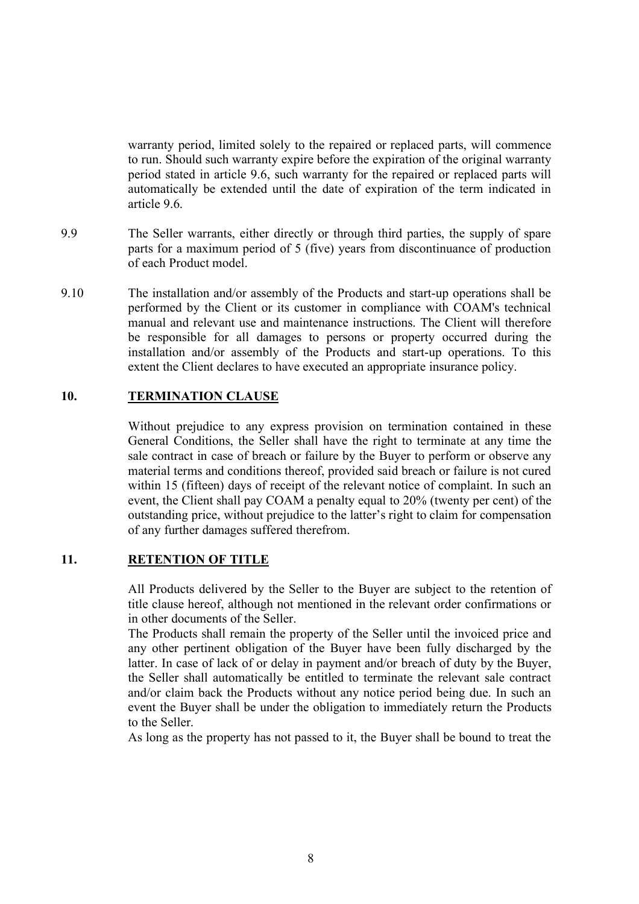warranty period, limited solely to the repaired or replaced parts, will commence to run. Should such warranty expire before the expiration of the original warranty period stated in article 9.6, such warranty for the repaired or replaced parts will automatically be extended until the date of expiration of the term indicated in article 9.6.

- 9.9 The Seller warrants, either directly or through third parties, the supply of spare parts for a maximum period of 5 (five) years from discontinuance of production of each Product model.
- 9.10 The installation and/or assembly of the Products and start-up operations shall be performed by the Client or its customer in compliance with COAM's technical manual and relevant use and maintenance instructions. The Client will therefore be responsible for all damages to persons or property occurred during the installation and/or assembly of the Products and start-up operations. To this extent the Client declares to have executed an appropriate insurance policy.

### **10. TERMINATION CLAUSE**

Without prejudice to any express provision on termination contained in these General Conditions, the Seller shall have the right to terminate at any time the sale contract in case of breach or failure by the Buyer to perform or observe any material terms and conditions thereof, provided said breach or failure is not cured within 15 (fifteen) days of receipt of the relevant notice of complaint. In such an event, the Client shall pay COAM a penalty equal to 20% (twenty per cent) of the outstanding price, without prejudice to the latter's right to claim for compensation of any further damages suffered therefrom.

#### **11. RETENTION OF TITLE**

All Products delivered by the Seller to the Buyer are subject to the retention of title clause hereof, although not mentioned in the relevant order confirmations or in other documents of the Seller.

The Products shall remain the property of the Seller until the invoiced price and any other pertinent obligation of the Buyer have been fully discharged by the latter. In case of lack of or delay in payment and/or breach of duty by the Buyer, the Seller shall automatically be entitled to terminate the relevant sale contract and/or claim back the Products without any notice period being due. In such an event the Buyer shall be under the obligation to immediately return the Products to the Seller.

As long as the property has not passed to it, the Buyer shall be bound to treat the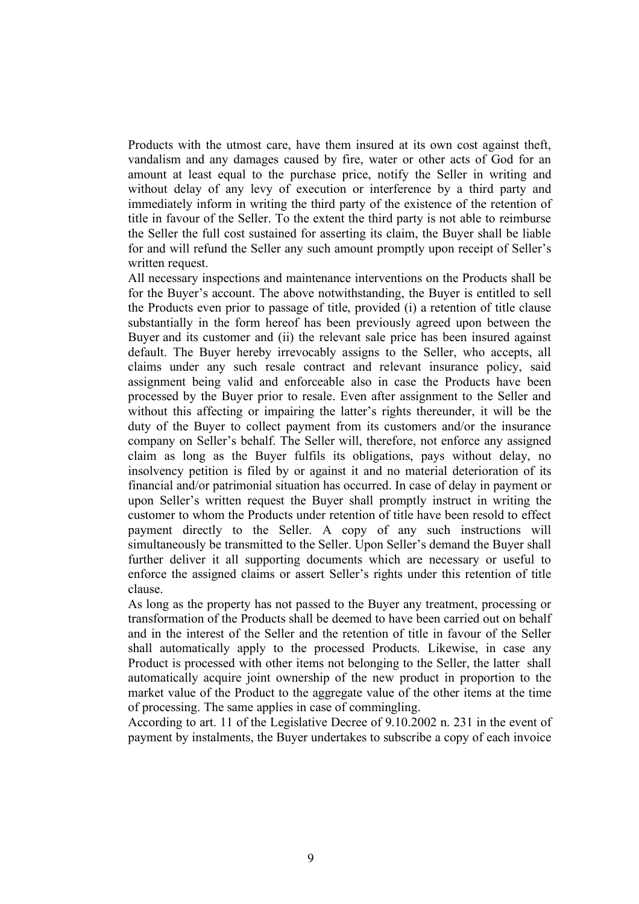Products with the utmost care, have them insured at its own cost against theft, vandalism and any damages caused by fire, water or other acts of God for an amount at least equal to the purchase price, notify the Seller in writing and without delay of any levy of execution or interference by a third party and immediately inform in writing the third party of the existence of the retention of title in favour of the Seller. To the extent the third party is not able to reimburse the Seller the full cost sustained for asserting its claim, the Buyer shall be liable for and will refund the Seller any such amount promptly upon receipt of Seller's written request.

All necessary inspections and maintenance interventions on the Products shall be for the Buyer's account. The above notwithstanding, the Buyer is entitled to sell the Products even prior to passage of title, provided (i) a retention of title clause substantially in the form hereof has been previously agreed upon between the Buyer and its customer and (ii) the relevant sale price has been insured against default. The Buyer hereby irrevocably assigns to the Seller, who accepts, all claims under any such resale contract and relevant insurance policy, said assignment being valid and enforceable also in case the Products have been processed by the Buyer prior to resale. Even after assignment to the Seller and without this affecting or impairing the latter's rights thereunder, it will be the duty of the Buyer to collect payment from its customers and/or the insurance company on Seller's behalf. The Seller will, therefore, not enforce any assigned claim as long as the Buyer fulfils its obligations, pays without delay, no insolvency petition is filed by or against it and no material deterioration of its financial and/or patrimonial situation has occurred. In case of delay in payment or upon Seller's written request the Buyer shall promptly instruct in writing the customer to whom the Products under retention of title have been resold to effect payment directly to the Seller. A copy of any such instructions will simultaneously be transmitted to the Seller. Upon Seller's demand the Buyer shall further deliver it all supporting documents which are necessary or useful to enforce the assigned claims or assert Seller's rights under this retention of title clause.

As long as the property has not passed to the Buyer any treatment, processing or transformation of the Products shall be deemed to have been carried out on behalf and in the interest of the Seller and the retention of title in favour of the Seller shall automatically apply to the processed Products. Likewise, in case any Product is processed with other items not belonging to the Seller, the latter shall automatically acquire joint ownership of the new product in proportion to the market value of the Product to the aggregate value of the other items at the time of processing. The same applies in case of commingling.

According to art. 11 of the Legislative Decree of 9.10.2002 n. 231 in the event of payment by instalments, the Buyer undertakes to subscribe a copy of each invoice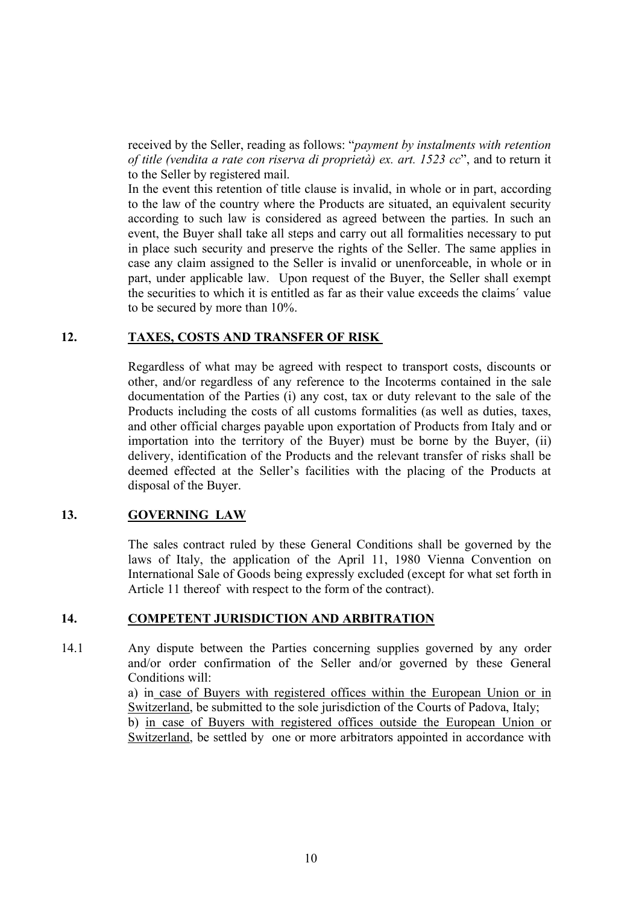received by the Seller, reading as follows: "*payment by instalments with retention of title (vendita a rate con riserva di proprietà) ex. art. 1523 cc*", and to return it to the Seller by registered mail.

In the event this retention of title clause is invalid, in whole or in part, according to the law of the country where the Products are situated, an equivalent security according to such law is considered as agreed between the parties. In such an event, the Buyer shall take all steps and carry out all formalities necessary to put in place such security and preserve the rights of the Seller. The same applies in case any claim assigned to the Seller is invalid or unenforceable, in whole or in part, under applicable law. Upon request of the Buyer, the Seller shall exempt the securities to which it is entitled as far as their value exceeds the claims´ value to be secured by more than 10%.

#### **12. TAXES, COSTS AND TRANSFER OF RISK**

Regardless of what may be agreed with respect to transport costs, discounts or other, and/or regardless of any reference to the Incoterms contained in the sale documentation of the Parties (i) any cost, tax or duty relevant to the sale of the Products including the costs of all customs formalities (as well as duties, taxes, and other official charges payable upon exportation of Products from Italy and or importation into the territory of the Buyer) must be borne by the Buyer, (ii) delivery, identification of the Products and the relevant transfer of risks shall be deemed effected at the Seller's facilities with the placing of the Products at disposal of the Buyer.

# **13. GOVERNING LAW**

The sales contract ruled by these General Conditions shall be governed by the laws of Italy, the application of the April 11, 1980 Vienna Convention on International Sale of Goods being expressly excluded (except for what set forth in Article 11 thereof with respect to the form of the contract).

#### **14. COMPETENT JURISDICTION AND ARBITRATION**

14.1 Any dispute between the Parties concerning supplies governed by any order and/or order confirmation of the Seller and/or governed by these General Conditions will:

> a) in case of Buyers with registered offices within the European Union or in Switzerland, be submitted to the sole jurisdiction of the Courts of Padova, Italy;

> b) in case of Buyers with registered offices outside the European Union or Switzerland, be settled by one or more arbitrators appointed in accordance with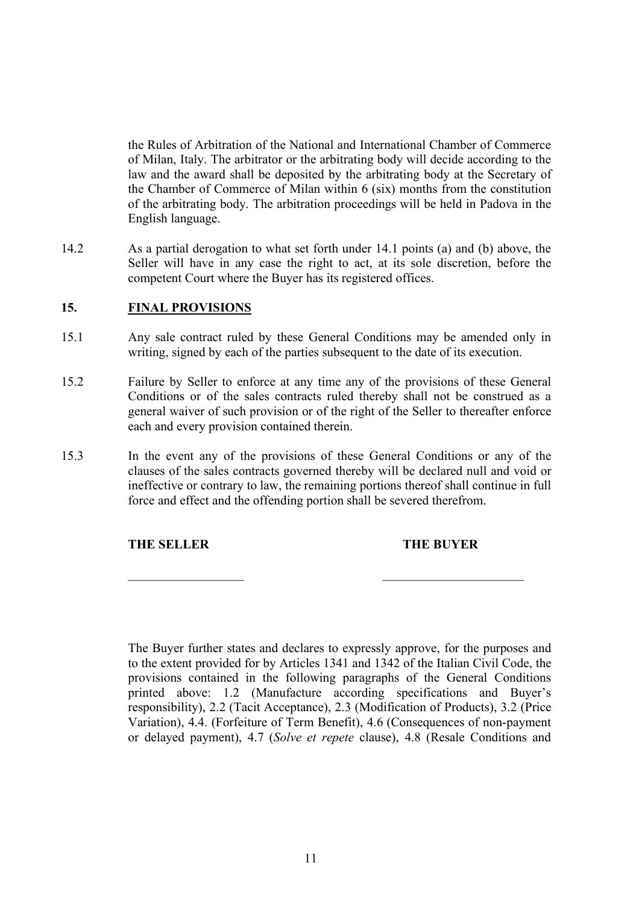the Rules of Arbitration of the National and International Chamber of Commerce of Milan, Italy. The arbitrator or the arbitrating body will decide according to the law and the award shall be deposited by the arbitrating body at the Secretary of the Chamber of Commerce of Milan within 6 (six) months from the constitution of the arbitrating body. The arbitration proceedings will be held in Padova in the English language.

14.2 As a partial derogation to what set forth under 14.1 points (a) and (b) above, the Seller will have in any case the right to act, at its sole discretion, before the competent Court where the Buyer has its registered offices.

### **15. FINAL PROVISIONS**

- 15.1 Any sale contract ruled by these General Conditions may be amended only in writing, signed by each of the parties subsequent to the date of its execution.
- 15.2 Failure by Seller to enforce at any time any of the provisions of these General Conditions or of the sales contracts ruled thereby shall not be construed as a general waiver of such provision or of the right of the Seller to thereafter enforce each and every provision contained therein.
- 15.3 In the event any of the provisions of these General Conditions or any of the clauses of the sales contracts governed thereby will be declared null and void or ineffective or contrary to law, the remaining portions thereof shall continue in full force and effect and the offending portion shall be severed therefrom.

 $\mathcal{L}_\text{max}$  , and the contract of the contract of the contract of the contract of the contract of the contract of

#### **THE SELLER THE BUYER**

The Buyer further states and declares to expressly approve, for the purposes and to the extent provided for by Articles 1341 and 1342 of the Italian Civil Code, the provisions contained in the following paragraphs of the General Conditions printed above: 1.2 (Manufacture according specifications and Buyer's responsibility), 2.2 (Tacit Acceptance), 2.3 (Modification of Products), 3.2 (Price Variation), 4.4. (Forfeiture of Term Benefit), 4.6 (Consequences of non-payment or delayed payment), 4.7 (*Solve et repete* clause), 4.8 (Resale Conditions and